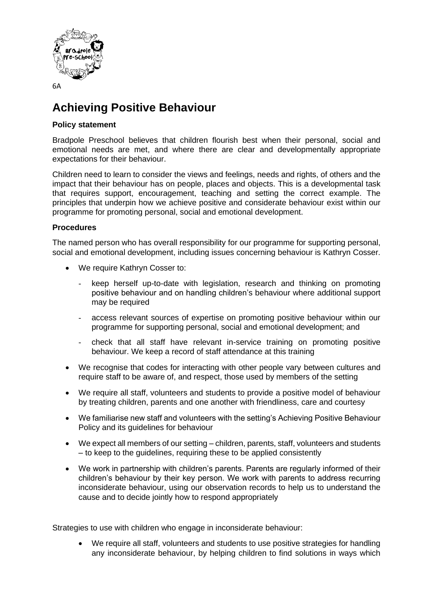

# **Achieving Positive Behaviour**

## **Policy statement**

Bradpole Preschool believes that children flourish best when their personal, social and emotional needs are met, and where there are clear and developmentally appropriate expectations for their behaviour.

Children need to learn to consider the views and feelings, needs and rights, of others and the impact that their behaviour has on people, places and objects. This is a developmental task that requires support, encouragement, teaching and setting the correct example. The principles that underpin how we achieve positive and considerate behaviour exist within our programme for promoting personal, social and emotional development.

## **Procedures**

The named person who has overall responsibility for our programme for supporting personal, social and emotional development, including issues concerning behaviour is Kathryn Cosser.

- We require Kathryn Cosser to:
	- keep herself up-to-date with legislation, research and thinking on promoting positive behaviour and on handling children's behaviour where additional support may be required
	- access relevant sources of expertise on promoting positive behaviour within our programme for supporting personal, social and emotional development; and
	- check that all staff have relevant in-service training on promoting positive behaviour. We keep a record of staff attendance at this training
- We recognise that codes for interacting with other people vary between cultures and require staff to be aware of, and respect, those used by members of the setting
- We require all staff, volunteers and students to provide a positive model of behaviour by treating children, parents and one another with friendliness, care and courtesy
- We familiarise new staff and volunteers with the setting's Achieving Positive Behaviour Policy and its guidelines for behaviour
- We expect all members of our setting children, parents, staff, volunteers and students – to keep to the guidelines, requiring these to be applied consistently
- We work in partnership with children's parents. Parents are regularly informed of their children's behaviour by their key person. We work with parents to address recurring inconsiderate behaviour, using our observation records to help us to understand the cause and to decide jointly how to respond appropriately

Strategies to use with children who engage in inconsiderate behaviour:

• We require all staff, volunteers and students to use positive strategies for handling any inconsiderate behaviour, by helping children to find solutions in ways which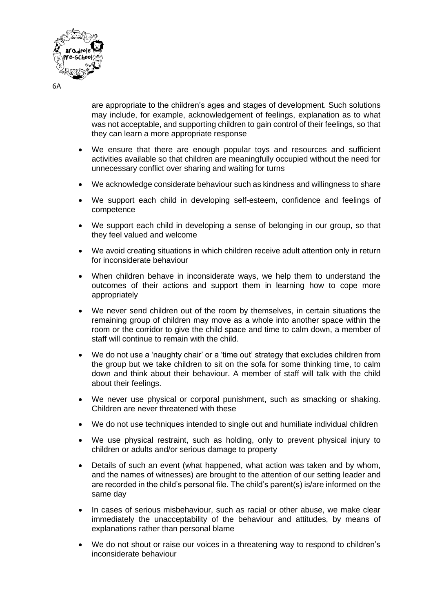

are appropriate to the children's ages and stages of development. Such solutions may include, for example, acknowledgement of feelings, explanation as to what was not acceptable, and supporting children to gain control of their feelings, so that they can learn a more appropriate response

- We ensure that there are enough popular toys and resources and sufficient activities available so that children are meaningfully occupied without the need for unnecessary conflict over sharing and waiting for turns
- We acknowledge considerate behaviour such as kindness and willingness to share
- We support each child in developing self-esteem, confidence and feelings of competence
- We support each child in developing a sense of belonging in our group, so that they feel valued and welcome
- We avoid creating situations in which children receive adult attention only in return for inconsiderate behaviour
- When children behave in inconsiderate ways, we help them to understand the outcomes of their actions and support them in learning how to cope more appropriately
- We never send children out of the room by themselves, in certain situations the remaining group of children may move as a whole into another space within the room or the corridor to give the child space and time to calm down, a member of staff will continue to remain with the child.
- We do not use a 'naughty chair' or a 'time out' strategy that excludes children from the group but we take children to sit on the sofa for some thinking time, to calm down and think about their behaviour. A member of staff will talk with the child about their feelings.
- We never use physical or corporal punishment, such as smacking or shaking. Children are never threatened with these
- We do not use techniques intended to single out and humiliate individual children
- We use physical restraint, such as holding, only to prevent physical injury to children or adults and/or serious damage to property
- Details of such an event (what happened, what action was taken and by whom, and the names of witnesses) are brought to the attention of our setting leader and are recorded in the child's personal file. The child's parent(s) is/are informed on the same day
- In cases of serious misbehaviour, such as racial or other abuse, we make clear immediately the unacceptability of the behaviour and attitudes, by means of explanations rather than personal blame
- We do not shout or raise our voices in a threatening way to respond to children's inconsiderate behaviour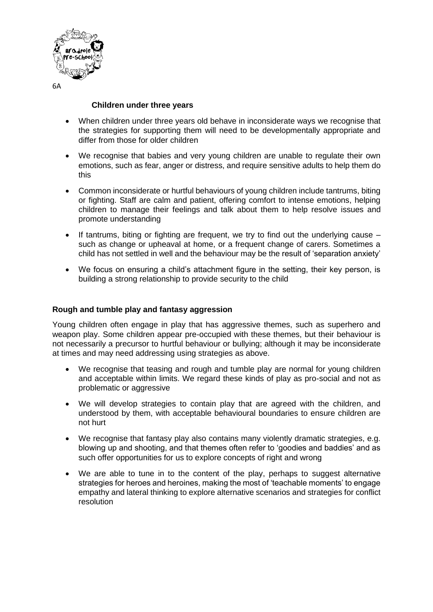

#### **Children under three years**

- When children under three years old behave in inconsiderate ways we recognise that the strategies for supporting them will need to be developmentally appropriate and differ from those for older children
- We recognise that babies and very young children are unable to regulate their own emotions, such as fear, anger or distress, and require sensitive adults to help them do this
- Common inconsiderate or hurtful behaviours of young children include tantrums, biting or fighting. Staff are calm and patient, offering comfort to intense emotions, helping children to manage their feelings and talk about them to help resolve issues and promote understanding
- If tantrums, biting or fighting are frequent, we try to find out the underlying cause  $$ such as change or upheaval at home, or a frequent change of carers. Sometimes a child has not settled in well and the behaviour may be the result of 'separation anxiety'
- We focus on ensuring a child's attachment figure in the setting, their key person, is building a strong relationship to provide security to the child

### **Rough and tumble play and fantasy aggression**

Young children often engage in play that has aggressive themes, such as superhero and weapon play. Some children appear pre-occupied with these themes, but their behaviour is not necessarily a precursor to hurtful behaviour or bullying; although it may be inconsiderate at times and may need addressing using strategies as above.

- We recognise that teasing and rough and tumble play are normal for young children and acceptable within limits. We regard these kinds of play as pro-social and not as problematic or aggressive
- We will develop strategies to contain play that are agreed with the children, and understood by them, with acceptable behavioural boundaries to ensure children are not hurt
- We recognise that fantasy play also contains many violently dramatic strategies, e.g. blowing up and shooting, and that themes often refer to 'goodies and baddies' and as such offer opportunities for us to explore concepts of right and wrong
- We are able to tune in to the content of the play, perhaps to suggest alternative strategies for heroes and heroines, making the most of 'teachable moments' to engage empathy and lateral thinking to explore alternative scenarios and strategies for conflict resolution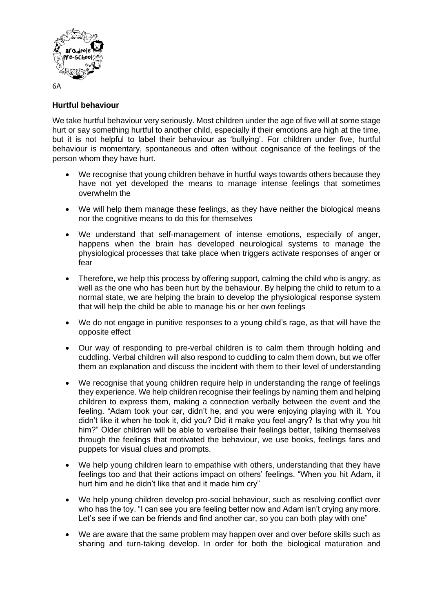

## **Hurtful behaviour**

We take hurtful behaviour very seriously. Most children under the age of five will at some stage hurt or say something hurtful to another child, especially if their emotions are high at the time, but it is not helpful to label their behaviour as 'bullying'. For children under five, hurtful behaviour is momentary, spontaneous and often without cognisance of the feelings of the person whom they have hurt.

- We recognise that young children behave in hurtful ways towards others because they have not yet developed the means to manage intense feelings that sometimes overwhelm the
- We will help them manage these feelings, as they have neither the biological means nor the cognitive means to do this for themselves
- We understand that self-management of intense emotions, especially of anger, happens when the brain has developed neurological systems to manage the physiological processes that take place when triggers activate responses of anger or fear
- Therefore, we help this process by offering support, calming the child who is angry, as well as the one who has been hurt by the behaviour. By helping the child to return to a normal state, we are helping the brain to develop the physiological response system that will help the child be able to manage his or her own feelings
- We do not engage in punitive responses to a young child's rage, as that will have the opposite effect
- Our way of responding to pre-verbal children is to calm them through holding and cuddling. Verbal children will also respond to cuddling to calm them down, but we offer them an explanation and discuss the incident with them to their level of understanding
- We recognise that young children require help in understanding the range of feelings they experience. We help children recognise their feelings by naming them and helping children to express them, making a connection verbally between the event and the feeling. "Adam took your car, didn't he, and you were enjoying playing with it. You didn't like it when he took it, did you? Did it make you feel angry? Is that why you hit him?" Older children will be able to verbalise their feelings better, talking themselves through the feelings that motivated the behaviour, we use books, feelings fans and puppets for visual clues and prompts.
- We help young children learn to empathise with others, understanding that they have feelings too and that their actions impact on others' feelings. "When you hit Adam, it hurt him and he didn't like that and it made him cry"
- We help young children develop pro-social behaviour, such as resolving conflict over who has the toy. "I can see you are feeling better now and Adam isn't crying any more. Let's see if we can be friends and find another car, so you can both play with one"
- We are aware that the same problem may happen over and over before skills such as sharing and turn-taking develop. In order for both the biological maturation and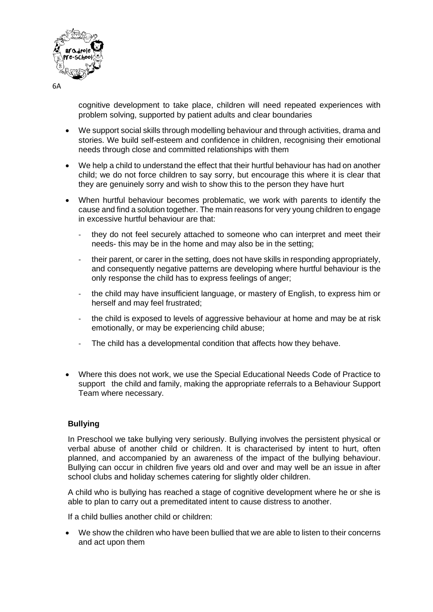

cognitive development to take place, children will need repeated experiences with problem solving, supported by patient adults and clear boundaries

- We support social skills through modelling behaviour and through activities, drama and stories. We build self-esteem and confidence in children, recognising their emotional needs through close and committed relationships with them
- We help a child to understand the effect that their hurtful behaviour has had on another child; we do not force children to say sorry, but encourage this where it is clear that they are genuinely sorry and wish to show this to the person they have hurt
- When hurtful behaviour becomes problematic, we work with parents to identify the cause and find a solution together. The main reasons for very young children to engage in excessive hurtful behaviour are that:
	- they do not feel securely attached to someone who can interpret and meet their needs- this may be in the home and may also be in the setting;
	- their parent, or carer in the setting, does not have skills in responding appropriately, and consequently negative patterns are developing where hurtful behaviour is the only response the child has to express feelings of anger;
	- the child may have insufficient language, or mastery of English, to express him or herself and may feel frustrated;
	- the child is exposed to levels of aggressive behaviour at home and may be at risk emotionally, or may be experiencing child abuse;
	- The child has a developmental condition that affects how they behave.
- Where this does not work, we use the Special Educational Needs Code of Practice to support the child and family, making the appropriate referrals to a Behaviour Support Team where necessary.

#### **Bullying**

In Preschool we take bullying very seriously. Bullying involves the persistent physical or verbal abuse of another child or children. It is characterised by intent to hurt, often planned, and accompanied by an awareness of the impact of the bullying behaviour. Bullying can occur in children five years old and over and may well be an issue in after school clubs and holiday schemes catering for slightly older children.

A child who is bullying has reached a stage of cognitive development where he or she is able to plan to carry out a premeditated intent to cause distress to another.

If a child bullies another child or children:

• We show the children who have been bullied that we are able to listen to their concerns and act upon them